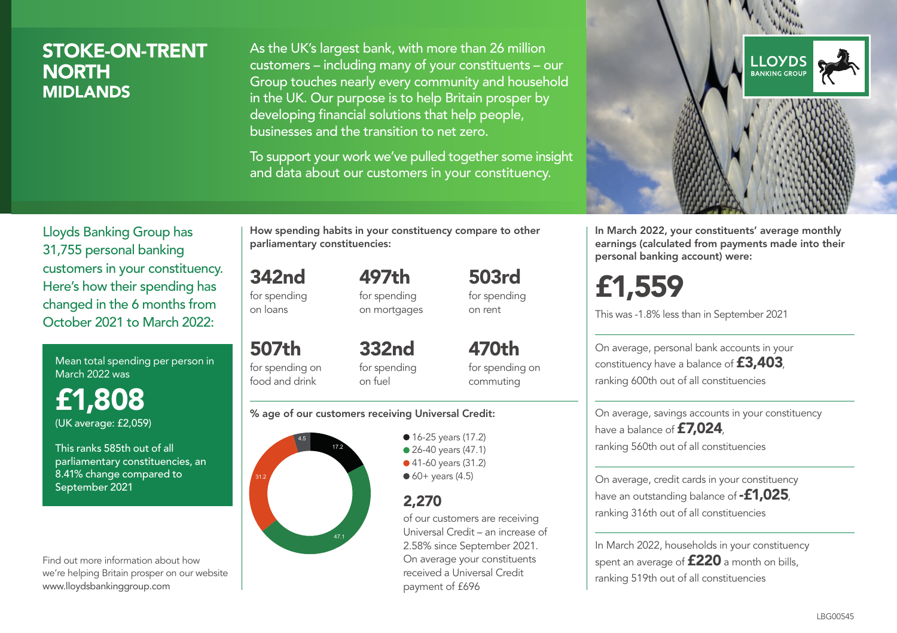## STOKE-ON-TRENT **NORTH** MIDLANDS

As the UK's largest bank, with more than 26 million customers – including many of your constituents – our Group touches nearly every community and household in the UK. Our purpose is to help Britain prosper by developing financial solutions that help people, businesses and the transition to net zero.

To support your work we've pulled together some insight and data about our customers in your constituency.



Mean total spending per person in March 2022 was

£1,808 (UK average: £2,059)

This ranks 585th out of all parliamentary constituencies, an 8.41% change compared to September 2021

Find out more information about how we're helping Britain prosper on our website www.lloydsbankinggroup.com

How spending habits in your constituency compare to other parliamentary constituencies:

497th

342nd for spending on loans

for spending on mortgages

507th for spending on food and drink 332nd for spending on fuel

470th for spending on commuting

503rd for spending on rent

#### % age of our customers receiving Universal Credit:



• 16-25 years (17.2) ● 26-40 years (47.1) ● 41-60 years (31.2)  $60+$  years (4.5)

### 2,270

of our customers are receiving Universal Credit – an increase of 2.58% since September 2021. On average your constituents received a Universal Credit payment of £696



In March 2022, your constituents' average monthly earnings (calculated from payments made into their personal banking account) were:

£1,559

This was -1.8% less than in September 2021

On average, personal bank accounts in your constituency have a balance of £3,403, ranking 600th out of all constituencies

On average, savings accounts in your constituency have a balance of £7,024, ranking 560th out of all constituencies

On average, credit cards in your constituency have an outstanding balance of **-£1,025** ranking 316th out of all constituencies

In March 2022, households in your constituency spent an average of £220 a month on bills, ranking 519th out of all constituencies